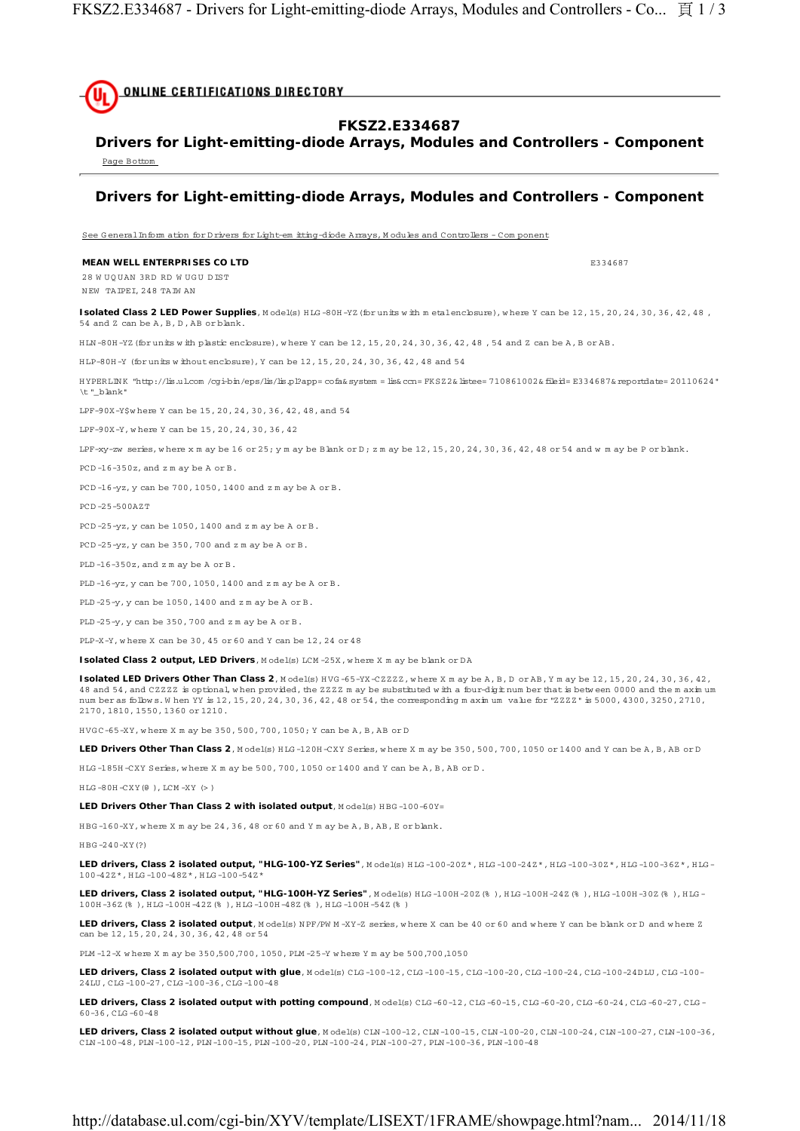

# **FKSZ2.E334687**

**Drivers for Light-emitting-diode Arrays, Modules and Controllers - Component** Page Bottom

## **Drivers for Light-emitting-diode Arrays, Modules and Controllers - Component**

See G eneral Inform ation for D rivers for Light-em itting-diode Arrays, M odules and Controllers - Com ponent

#### **MEAN WELL ENTERPRISES CO LTD EXISTENCIAL ENTRA EXISTENCIAL EXISTENCIAL EXISTENCIAL EXISTENCIAL EXISTENCIAL EXISTENCIAL EXISTENCIAL EXISTENCIAL EXISTENCIAL EXISTENCIAL EXISTENCIAL EXISTENCIAL EXISTENCIAL EXISTENCIAL EXIS**

28 W UOUAN 3RD RD WHICH DIST N EW TAIPEI, 248 TAIW AN

Isolated Class 2 LED Power Supplies, Model(s) HLG-80H-YZ (for units with m etalencbsure), where Y can be 12, 15, 20, 24, 30, 36, 42, 48, 54 and Z can be A, B, D , AB or blank.

H LN -80H -YZ(for units w ith plastic enclosure), w here Y can be 12, 15, 20, 24, 30, 36, 42, 48 , 54 and Z can be A, B or AB.

H LP-80H -Y (for units w ithout enclosure), Y can be 12, 15, 20, 24, 30, 36, 42, 48 and 54

H YPERLIN K "http://lis.ul.com /cgi-bin/eps/lis/lis.pl?app= cofa& system = lis& ccn= FKSZ2& listee= 710861002& fileid= E334687& reportdate= 20110624" \t "\_blank"

LPF-90X-Y\$w here Y can be 15, 20, 24, 30, 36, 42, 48, and 54

LPF-90X-Y, w here Y can be 15, 20, 24, 30, 36, 42

LPF-xy-zw series, where x m ay be  $16$  or  $25$ ; y m ay be Blank or D; z m ay be  $12$ ,  $15$ ,  $20$ ,  $24$ ,  $30$ ,  $36$ ,  $42$ ,  $48$  or  $54$  and w m ay be P or blank.

PCD -16-350z, and z m ay be A or B.

PCD -16-yz, y can be 700, 1050, 1400 and z m ay be A or B.

PCD -25-500AZT

PCD -25-yz, y can be 1050, 1400 and z m ay be A or B.

PCD -25-yz, y can be 350, 700 and z m ay be A or B.

PLD -16-350z, and z m ay be A or B.

PLD -16-yz, y can be 700, 1050, 1400 and z m ay be A or B.

PLD -25-y, y can be 1050, 1400 and z m ay be A or B.

PLD -25-y, y can be 350, 700 and z m ay be A or B.

PLP-X-Y, w here X can be 30, 45 or 60 and Y can be 12, 24 or 48

**Isolated Class 2 output, LED Drivers**, Model(s) LCM -25X, where X m ay be blank or DA

**Isolated LED Drivers Other Than Class 2**, M odel(s) HVG-65-YX-CZZZZ, where X m ay be A, B, D or AB, Y m ay be 12, 15, 20, 24, 30, 36, 42, 48 and 54, and CZZZZ is optional, when provided, the ZZZZ m ay be substituted with a four-digit num ber that is between 0000 and the m axim um num ber as follow s. W hen YY is 12, 15, 20, 24, 30, 36, 42, 48 or 54, the corresponding m axim um value for "ZZZZ" is 5000, 4300, 3250, 2710, 2170, 1810, 1550, 1360 or 1210.

H VG C-65-XY, w here X m ay be 350, 500, 700, 1050; Y can be A, B, AB or D

**LED Drivers Other Than Class 2**, M odel(s) H LG -120H -CXY Series, w here X m ay be 350, 500, 700, 1050 or 1400 and Y can be A, B, AB or D

H LG -185H -CXY Series, w here X m ay be 500, 700, 1050 or 1400 and Y can be A, B, AB or D .

H LG -80H -CXY(@ ), LCM -XY (> )

LED Drivers Other Than Class 2 with isolated output, Model(s) HBG-100-60Y=

H BG -160-XY, w here X m ay be 24, 36, 48 or 60 and Y m ay be A, B, AB, E or blank.

#### H BG -240-XY(?)

LED drivers, Class 2 isolated output, "HLG-100-YZ Series", Model(s) HLG-100-20Z\*, HLG-100-24Z\*, HLG-100-30Z\*, HLG-100-36Z\*, HLG-100-42Z\*, H LG -100-48Z\*, H LG -100-54Z\*

LED drivers, Class 2 isolated output, "HLG-100H-YZ Series", Model(s) HLG-100H-20Z(%), HLG-100H-24Z(%), HLG-100H-30Z(%), HLG-100H -36Z(% ), H LG -100H -42Z(% ), H LG -100H -48Z(% ), H LG -100H -54Z(% )

LED drivers, Class 2 isolated output, Model(s) NPF/PW M-XY-Z series, where X can be 40 or 60 and where Y can be blank or D and where Z can be 12, 15, 20, 24, 30, 36, 42, 48 or 54

PLM -12-X w here X m ay be 350,500,700, 1050, PLM -25-Y w here Y m ay be 500,700,1050

**LED drivers, Class 2 isolated output with glue**, M odel(s) CLG -100-12, CLG -100-15, CLG -100-20, CLG -100-24, CLG -100-24D LU , CLG -100- 24LU , CLG -100-27, CLG -100-36, CLG -100-48

LED drivers, Class 2 isolated output with potting compound, Model(s) CLG -60-12, CLG -60-15, CLG -60-20, CLG -60-24, CLG -60-27, CLG-60-36, CLG -60-48

**LED drivers, Class 2 isolated output without glue**, M odel(s) CLN -100-12, CLN -100-15, CLN -100-20, CLN -100-24, CLN -100-27, CLN -100-36, CLN -100-48, PLN -100-12, PLN -100-15, PLN -100-20, PLN -100-24, PLN -100-27, PLN -100-36, PLN -100-48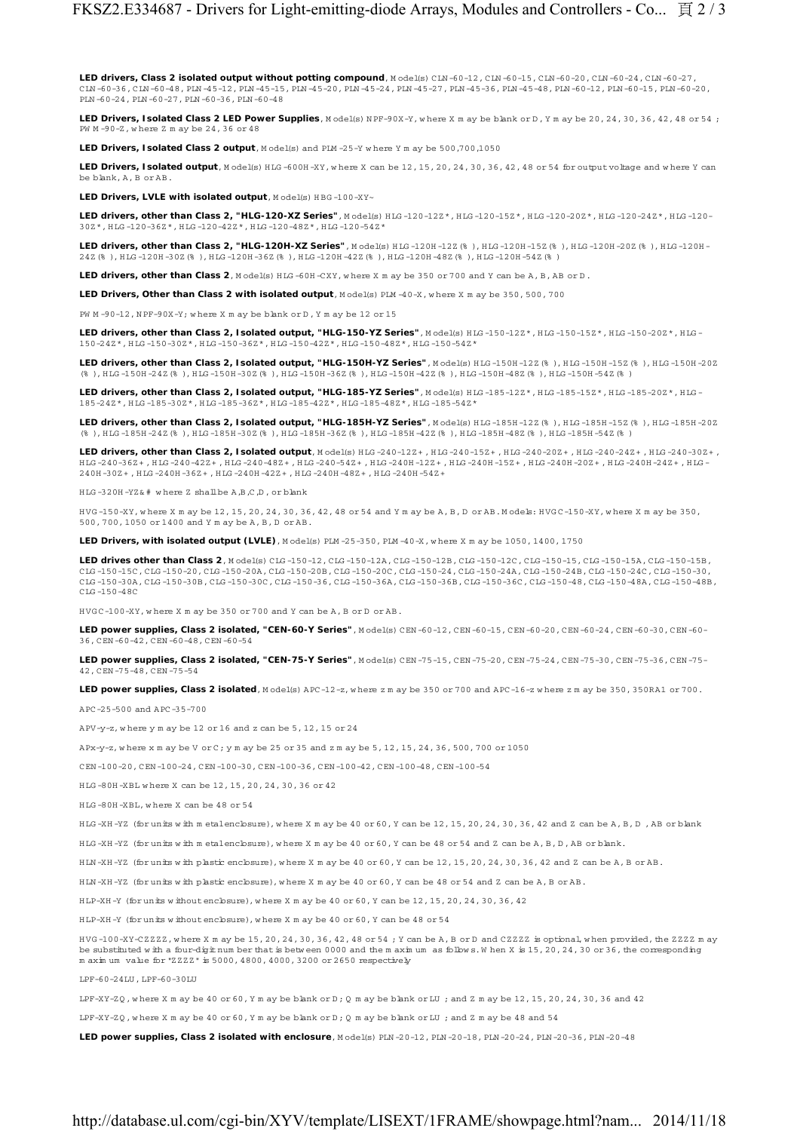LED drivers, Class 2 isolated output without potting compound, Model(s) CLN-60-12, CLN-60-15, CLN-60-20, CLN-60-24, CLN-60-27 CLN -60-36, CLN -60-48, PLN -45-12, PLN -45-15, PLN -45-20, PLN -45-24, PLN -45-27, PLN -45-36, PLN -45-48, PLN -60-12, PLN -60-15, PLN -60-20, PLN -60-24, PLN -60-27, PLN -60-36, PLN -60-48

LED Drivers, Isolated Class 2 LED Power Supplies, Model(s) NPF-90X-Y, where X m ay be blank or D, Y m ay be 20, 24, 30, 36, 42, 48 or 54; PW M -90-Z, w here Z m ay be 24, 36 or 48

**LED Drivers, Isolated Class 2 output**, M odel(s) and PLM -25-Y where Y m ay be 500,700,1050

LED Drivers, Isolated output, Model(s) HIG-600H-XY, where X can be 12, 15, 20, 24, 30, 36, 42, 48 or 54 for output voltage and where Y can be blank, A, B or AB.

LED Drivers, LVLE with isolated output, Model(s) HBG-100-XY~

**LED drivers, other than Class 2, "HLG-120-XZ Series"**, Model(s) HLG-120-12Z\*, HLG-120-15Z\*, HLG-120-20Z\*, HLG-120-24Z\*, HLG-120-24Z\*, 30Z\*, H LG -120-36Z\*, H LG -120-42Z\*, H LG -120-48Z\*, H LG -120-54Z\*

**LED drivers, other than Class 2, "HLG-120H-XZ Series"**, Model(s) HLG-120H-12Z(%), HLG-120H-15Z(%), HLG-120H-20Z(%), HLG-120H- $24\,\mathrm{Z}\,\%~\),~\text{H}\,\text{L}\text{G}~\text{-}12\,\mathrm{0H}~\text{-}3\,\mathrm{0Z}\,\left(\$\phantom{c} \right)~\text{, H}\,\text{L}\text{G}~\text{-}12\,\mathrm{0H}~\text{-}42\,\mathrm{Z}\,\left(\$\phantom{c} \right)~\text{, H}\,\text{L}\text{G}~\text{-}12\,\mathrm{0H}~\text{-}42\,\mathrm{Z}\,\left(\$\phantom{c} \right)~\text{, H}\,\text{L}\text{G}~\text{-}12\,\mathrm{0H}~\text{-}48\,\mathrm{Z}\$ 

**LED drivers, other than Class 2**, M odel(s) HLG-60H-CXY, where X m ay be 350 or 700 and Y can be A, B, AB or D.

**LED Drivers, Other than Class 2 with isolated output**, M odel(s) PLM -40-X, w here X m ay be 350, 500, 700

PW  $M - 90 - 12$ , N PF-90X-Y; where X m ay be blank or D, Y m ay be 12 or 15

LED drivers, other than Class 2, Isolated output, "HLG-150-YZ Series", Model(s) HLG-150-12Z\*, HLG-150-15Z\*, HLG-150-20Z\*, HLG-150-24Z\*, H LG -150-30Z\*, H LG -150-36Z\*, H LG -150-42Z\*, H LG -150-48Z\*, H LG -150-54Z\*

LED drivers, other than Class 2, Isolated output, "HLG-150H-YZ Series", Model(s) HLG -150H -12Z (% ), HLG -150H -15Z (% ), HLG -150H-20Z (% ), H LG -150H -24Z(% ), H LG -150H -30Z(% ), H LG -150H -36Z(% ), H LG -150H -42Z(% ), H LG -150H -48Z(% ), H LG -150H -54Z(% )

LED drivers, other than Class 2, Isolated output, "HLG-185-YZ Series", Model(s) HLG-185-12Z\*, HLG-185-15Z\*, HLG-185-20Z\*, HLG-185-24Z\*, H LG -185-30Z\*, H LG -185-36Z\*, H LG -185-42Z\*, H LG -185-48Z\*, H LG -185-54Z\*

**LED drivers, other than Class 2, Isolated output, "HLG-185H-YZ Series"**, M odel(s) H LG -185H -12Z(% ), H LG -185H -15Z(% ), H LG -185H -20Z (% ), H LG -185H -24Z(% ), H LG -185H -30Z(% ), H LG -185H -36Z(% ), H LG -185H -42Z(% ), H LG -185H -48Z(% ), H LG -185H -54Z(% )

**LED drivers, other than Class 2, Isolated output**, M odel(s) HLG -240-122+, HLG -240-15Z+, HLG -240-20Z+, HLG -240-242+, HLG -240-242+, HLG -240-242+, HLG -240-30Z+, H LG -240-36Z+ , H LG -240-42Z+ , H LG -240-48Z+ , H LG -240-54Z+ , H LG -240H -12Z+ , H LG -240H -15Z+ , H LG -240H -20Z+ , H LG -240H -24Z+ , H LG - 240H -30Z+ , H LG -240H -36Z+ , H LG -240H -42Z+ , H LG -240H -48Z+ , H LG -240H -54Z+

H LG -320H -YZ& # w here Z shall be A,B,C,D , or blank

H VG -150-XY, w here X m ay be 12, 15, 20, 24, 30, 36, 42, 48 or 54 and Y m ay be A, B, D or AB. M odels: H VG C-150-XY, w here X m ay be 350, 500, 700, 1050 or 1400 and Y m ay be A, B, D or AB.

**LED Drivers, with isolated output (LVLE)**, M odel(s) PLM -25-350, PLM -40-X, w here X m ay be 1050, 1400, 1750

**LED drives other than Class 2**, M odel(s) CLG -150-12, CLG -150-12A, CLG -150-12B, CLG -150-12C, CLG -150-15, CLG -150-15A, CLG -150-15B, CLG -150-15C, CLG -150-20, CLG -150-20A, CLG -150-20B, CLG -150-20C, CLG -150-24, CLG -150-24A, CLG -150-24B, CLG -150-24C, CLG -150-30, CLG -150-30A, CLG -150-30B, CLG -150-30C, CLG -150-36, CLG -150-36A, CLG -150-36B, CLG -150-36C, CLG -150-48, CLG -150-48A, CLG -150-48B, CLG -150-48C

H VG C-100-XY, w here X m ay be 350 or 700 and Y can be A, B or D or AB.

**LED power supplies, Class 2 isolated, "CEN-60-Y Series"**, M odel(s) CEN -60-12, CEN -60-15, CEN -60-20, CEN -60-24, CEN -60-30, CEN -60- 36, CEN -60-42, CEN -60-48, CEN -60-54

**LED power supplies, Class 2 isolated, "CEN-75-Y Series"**, M odel(s) CEN -75-15, CEN -75-20, CEN -75-24, CEN -75-30, CEN -75-36, CEN -75- 42, CEN -75-48, CEN -75-54

LED power supplies, Class 2 isolated, M odel(s) APC-12-z, w here z m ay be 350 or 700 and APC-16-z w here z m ay be 350, 350RA1 or 700.

APC-25-500 and APC-35-700

APV-y-z, w here y m ay be 12 or 16 and z can be 5, 12, 15 or 24

APx-y-z, w here x m ay be V or C; y m ay be 25 or 35 and z m ay be 5, 12, 15, 24, 36, 500, 700 or 1050

CEN -100-20, CEN -100-24, CEN -100-30, CEN -100-36, CEN -100-42, CEN -100-48, CEN -100-54

H LG -80H -XBL w here X can be 12, 15, 20, 24, 30, 36 or 42

H LG -80H -XBL, w here X can be 48 or 54

H LG -XH -YZ (for units w ith m etalenclosure), w here X m ay be 40 or 60, Y can be 12, 15, 20, 24, 30, 36, 42 and Z can be A, B, D , AB or blank

H LG -XH -YZ (for units w ith m etalenclosure), w here X m ay be 40 or 60, Y can be 48 or 54 and Z can be A, B, D , AB or blank.

H LN -XH -YZ (for units w ith plastic enclosure), w here X m ay be 40 or 60, Y can be 12, 15, 20, 24, 30, 36, 42 and Z can be A, B or AB.

H LN -XH -YZ (for units w ith plastic enclosure), w here X m ay be 40 or 60, Y can be 48 or 54 and Z can be A, B or AB.

HLP-XH-Y (for units w ithout enclosure), where X m ay be 40 or 60, Y can be  $12, 15, 20, 24, 30, 36, 42$ 

H LP-XH -Y (for units w ithout enclosure), w here X m ay be 40 or 60, Y can be 48 or 54

H VG -100-XY-CZZZZ, w here X m ay be 15, 20, 24, 30, 36, 42, 48 or 54 ; Y can be A, B or D and CZZZZ is optional, w hen provided, the ZZZZ m ay be substituted w ith a four-digit num ber that is betw een 0000 and the m axim um as follow s. W hen X is 15, 20, 24, 30 or 36, the corresponding m axim um value for "ZZZZ" is 5000, 4800, 4000, 3200 or 2650 respectively

LPF-60-24LU , LPF-60-30LU

LPF-XY-ZQ, where X m ay be 40 or 60, Y m ay be blank or D; Q m ay be blank or LU ; and Z m ay be 12, 15, 20, 24, 30, 36 and 42

LPF-XY-ZO, where X m ay be 40 or 60, Y m ay be blank or  $D:$  O m ay be blank or LU ; and Z m ay be 48 and 54

**LED power supplies, Class 2 isolated with enclosure**, M odel(s) PLN -20-12, PLN -20-18, PLN -20-24, PLN -20-36, PLN -20-48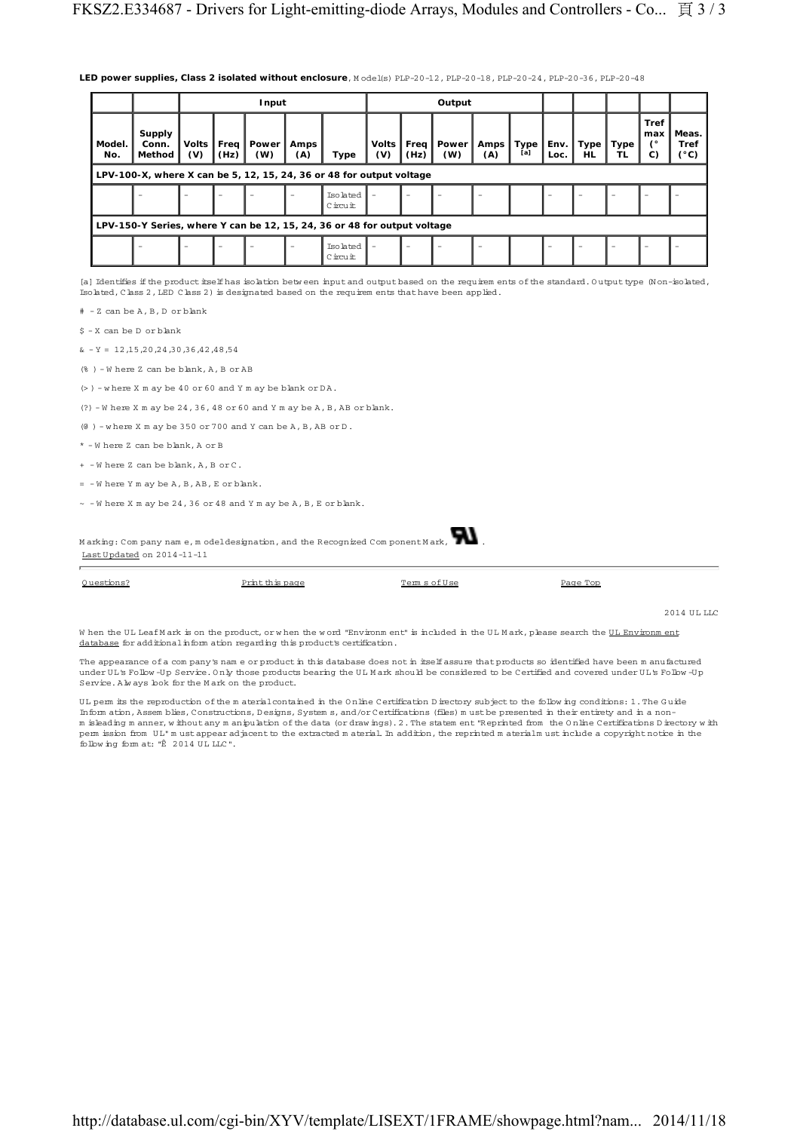|  | LED power supplies, Class 2 isolated without enclosure, Model(s) PLP-20-12, PLP-20-18, PLP-20-24, PLP-20-36, PLP-20-48 |  |  |  |
|--|------------------------------------------------------------------------------------------------------------------------|--|--|--|
|--|------------------------------------------------------------------------------------------------------------------------|--|--|--|

|                                                                          |                                                                      | Input                    |                          |              |                          | Output              |                          |                          |                          |             |                    |                          |                          |            |                                          |                                       |
|--------------------------------------------------------------------------|----------------------------------------------------------------------|--------------------------|--------------------------|--------------|--------------------------|---------------------|--------------------------|--------------------------|--------------------------|-------------|--------------------|--------------------------|--------------------------|------------|------------------------------------------|---------------------------------------|
| Model.<br>No.                                                            | Supply<br>Conn.<br>Method                                            | Volts I<br>(V)           | Freq<br>(Hz)             | Power<br>(W) | Amps<br>(A)              | Type                | Volts<br>(V)             | Freq<br>(Hz)             | Power<br>(W)             | Amps<br>(A) | <b>Type</b><br>[a] | Env.<br>Loc.             | Type<br><b>HL</b>        | Type<br>TL | <b>Tref</b><br>, max<br>$\epsilon$<br>C) | Meas.<br><b>Tref</b><br>$(^{\circ}C)$ |
|                                                                          | LPV-100-X, where X can be 5, 12, 15, 24, 36 or 48 for output voltage |                          |                          |              |                          |                     |                          |                          |                          |             |                    |                          |                          |            |                                          |                                       |
|                                                                          |                                                                      | $\overline{\phantom{m}}$ | $\overline{\phantom{m}}$ | -            | $\overline{\phantom{m}}$ | Isolated<br>Circuit | $\overline{\phantom{a}}$ | $\overline{\phantom{a}}$ | $\overline{\phantom{m}}$ |             |                    | $\overline{\phantom{a}}$ | $\overline{\phantom{m}}$ |            |                                          |                                       |
| LPV-150-Y Series, where Y can be 12, 15, 24, 36 or 48 for output voltage |                                                                      |                          |                          |              |                          |                     |                          |                          |                          |             |                    |                          |                          |            |                                          |                                       |
|                                                                          |                                                                      | $\overline{\phantom{m}}$ | $\overline{\phantom{m}}$ |              | $\overline{\phantom{m}}$ | Isolated<br>Circuit | $\overline{\phantom{a}}$ | $\overline{\phantom{a}}$ | $\overline{\phantom{m}}$ |             |                    | $\qquad \qquad =$        | $\overline{\phantom{m}}$ |            |                                          |                                       |

[a] Identifies if the product itself has isolation betw een input and output based on the requirem ents of the standard. Output type (Non-isolated, Isolated, Class 2, LED Class 2) is designated based on the requirem ents that have been applied.

# - Z can be A, B, D or blank

\$ - X can be D or blank

 $x - Y = 12,15,20,24,30,36,42,48,54$ 

(% ) - W here Z can be blank, A, B or AB

 $(>)$  - where X m ay be 40 or 60 and Y m ay be blank or DA.

 $(?) - W$  here X m ay be 24, 36, 48 or 60 and Y m ay be A, B, AB or blank.

(@ ) - w here X m ay be 350 or 700 and Y can be A, B, AB or D .

\* - W here Z can be blank, A or B

+ - W here Z can be blank, A, B or C.

= - W here Y m ay be A, B, AB, E or blank.

 $\sim$  -W here X m ay be 24, 36 or 48 and Y m ay be A, B, E or blank.

| Marking: Company name, model designation, and the Recognized Component Mark, $\blacktriangleright$ |  |
|----------------------------------------------------------------------------------------------------|--|
| Last Updated on 2014-11-11                                                                         |  |

| Ouestions? | Print this page | Terms of Use | Page Top |
|------------|-----------------|--------------|----------|
|            |                 |              |          |

2014 ULLLC

W hen the UL Leaf M ark is on the product, or when the word "Environm ent" is included in the UL M ark, please search the UL Environm ent database for additional inform ation regarding this product's certification.

The appearance of a com pany's nam e or product in this database does not in itself assure that products so identified have been m anufactured under UL's Follow -Up Service. Only those products bearing the UL Mark should be considered to be Certified and covered under UL's Follow -Up<br>Service. Always look for the Mark on the product.

U L perm its the reproduction of the m aterial contained in the O nline Certification D irectory subject to the follow ing conditions: 1. The G uide Inform ation, Assem blies, Constructions, D esigns, System s, and/or Certifications (files) m ust be presented in their entirety and in a nonm isleading m anner, w ithout any m anipulation of the data (or draw ings). 2. The statem ent "Reprinted from the O nline Certifications D irectory w ith perm ission from U L" m ust appear adjacent to the extracted m aterial. In addition, the reprinted m aterialm ust include a copyright notice in the follow ing form at: "© 2014 U L LLC".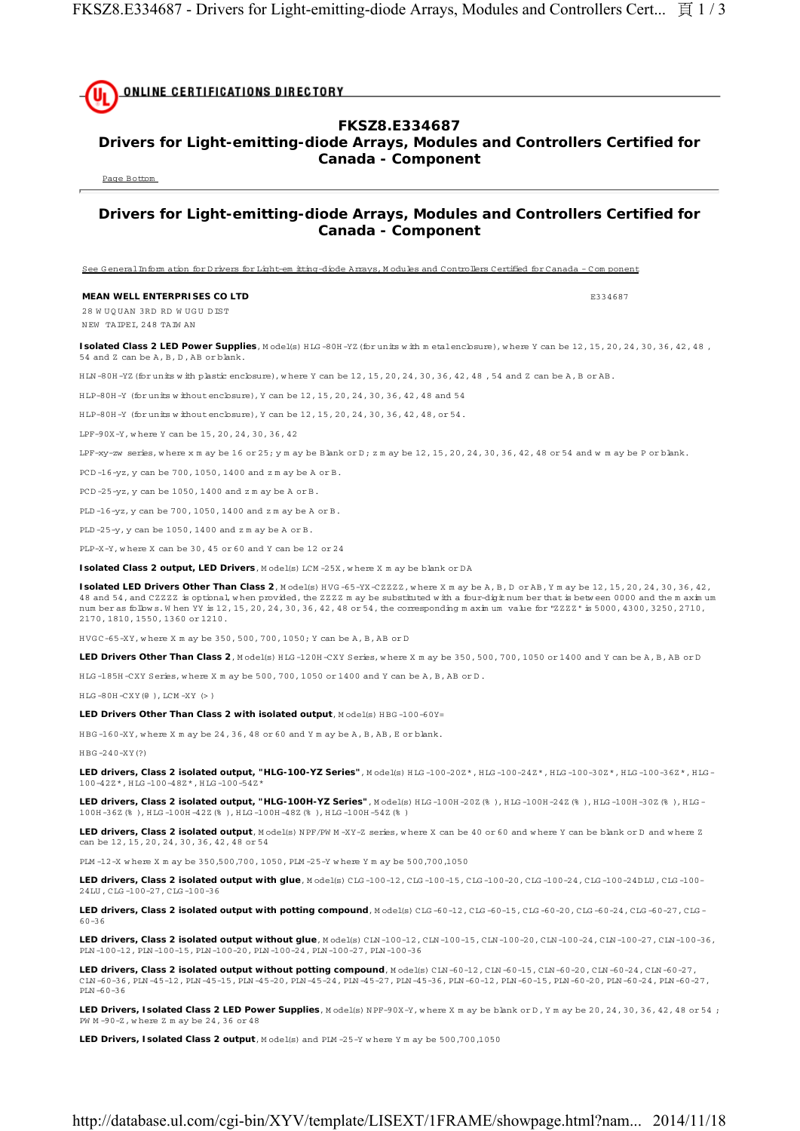**ONLINE CERTIFICATIONS DIRECTORY** 

## **FKSZ8.E334687**

## **Drivers for Light-emitting-diode Arrays, Modules and Controllers Certified for Canada - Component**

Page Bottom

## **Drivers for Light-emitting-diode Arrays, Modules and Controllers Certified for Canada - Component**

See G eneral Inform ation for D rivers for Light-em itting-diode Arrays, M odules and Controllers Certified for Canada - Com ponent

### **MEAN WELL ENTERPRISES CO LTD E334687**

28 W UQUAN 3RD RD W UGU DIST N EW TAIPEI, 248 TAIW AN

Isolated Class 2 LED Power Supplies, Model(s) HLG-80H-YZ (for units w ith m etalenclosure), where Y can be 12, 15, 20, 24, 30, 36, 42, 48, 54 and Z can be A, B, D , AB or blank.

H LN -80H -YZ(for units w ith plastic enclosure), w here Y can be 12, 15, 20, 24, 30, 36, 42, 48 , 54 and Z can be A, B or AB.

H LP-80H -Y (for units w ithout enclosure), Y can be 12, 15, 20, 24, 30, 36, 42, 48 and 54

HLP-80H-Y (for units w ithout enclosure), Y can be 12, 15, 20, 24, 30, 36, 42, 48, or 54.

LPF-90X-Y, w here Y can be 15, 20, 24, 30, 36, 42

LPF-xy-zw series, where x m ay be 16 or 25; y m ay be Blank or D; z m ay be  $12, 15, 20, 24, 30, 36, 42, 48$  or 54 and w m ay be P or blank.

PCD -16-yz, y can be 700, 1050, 1400 and z m ay be A or B.

PCD -25-yz, y can be 1050, 1400 and z m ay be A or B.

PLD -16-yz, y can be 700, 1050, 1400 and z m ay be A or B.

PLD -25-y, y can be 1050, 1400 and z m ay be A or B.

PLP-X-Y, w here X can be 30, 45 or 60 and Y can be 12 or 24

**Isolated Class 2 output, LED Drivers, Model(s) LCM-25X, where X m ay be blank or DA** 

**Isolated LED Drivers Other Than Class 2**, M odel(s) HVG-65-YX-CZZZZ, where X m ay be A, B, D or AB, Y m ay be 12, 15, 20, 24, 30, 36, 42, 48 and 54, and CZZZZ is optional, when provided, the ZZZZ m ay be substituted with a four-digit num ber that is betw een 0000 and the m axim um num ber as follow s. W hen YY is 12, 15, 20, 24, 30, 36, 42, 48 or 54, the corresponding m axim um value for "ZZZZ" is 5000, 4300, 3250, 2710, 2170, 1810, 1550, 1360 or 1210.

H VG C-65-XY, w here X m ay be 350, 500, 700, 1050; Y can be A, B, AB or D

**LED Drivers Other Than Class 2**, M odel(s) H LG -120H -CXY Series, w here X m ay be 350, 500, 700, 1050 or 1400 and Y can be A, B, AB or D

HLG-185H-CXY Series, where X m ay be 500, 700, 1050 or 1400 and Y can be A, B, AB or D.

 $HLG - 80H - CXY$  $(\theta)$ ,  $LCM - XY$  $(\geq)$ 

LED Drivers Other Than Class 2 with isolated output, Model(s) HBG-100-60Y=

H BG -160-XY, w here X m ay be 24, 36, 48 or 60 and Y m ay be A, B, AB, E or blank.

H BG -240-XY(?)

LED drivers, Class 2 isolated output, "HLG-100-YZ Series", Model(s) HLG-100-202\*, HLG-100-242\*, HLG-100-302\*, HLG-100-362\*, HLG-100-42Z\*, H LG -100-48Z\*, H LG -100-54Z\*

LED drivers, Class 2 isolated output, "HLG-100H-YZ Series", M odel(s) HLG -100H-20Z(%), HLG -100H-24Z(%), HLG -100H-30Z(%), HLG-100H -36Z(% ), H LG -100H -42Z(% ), H LG -100H -48Z(% ), H LG -100H -54Z(% )

LED drivers, Class 2 isolated output, M odel(s) NPF/PW M-XY-Z series, where X can be 40 or 60 and where Y can be blank or D and where Z can be 12, 15, 20, 24, 30, 36, 42, 48 or 54

PLM -12-X w here X m ay be 350,500,700, 1050, PLM -25-Y w here Y m ay be 500,700,1050

**LED drivers, Class 2 isolated output with glue**, M odel(s) CLG -100-12, CLG -100-15, CLG -100-20, CLG -100-24, CLG -100-24D LU , CLG -100- 24LU , CLG -100-27, CLG -100-36

LED drivers, Class 2 isolated output with potting compound, Model(s) CLG-60-12, CLG-60-15, CLG-60-20, CLG-60-24, CLG-60-27, CLG-60-36

**LED drivers, Class 2 isolated output without glue**, M odel(s) CLN -100-12, CLN -100-15, CLN -100-20, CLN -100-24, CLN -100-27, CLN -100-36, PLN -100-12, PLN -100-15, PLN -100-20, PLN -100-24, PLN -100-27, PLN -100-36

**LED drivers, Class 2 isolated output without potting compound**, Model(s) CLN -60-12, CLN -60-15, CLN -60-20, CLN -60-24, CLN -60-27 CLN -60-36, PLN -45-12, PLN -45-15, PLN -45-20, PLN -45-24, PLN -45-27, PLN -45-36, PLN -60-12, PLN -60-15, PLN -60-20, PLN -60-24, PLN -60-27, PLN -60-36

LED Drivers, Isolated Class 2 LED Power Supplies, Model(s) NPF-90X-Y, where X m ay be blank or D, Y m ay be 20, 24, 30, 36, 42, 48 or 54; PW M -90-Z, w here Z m ay be 24, 36 or 48

**LED Drivers, Isolated Class 2 output**, Model(s) and PLM-25-Y where Y m ay be 500,700,1050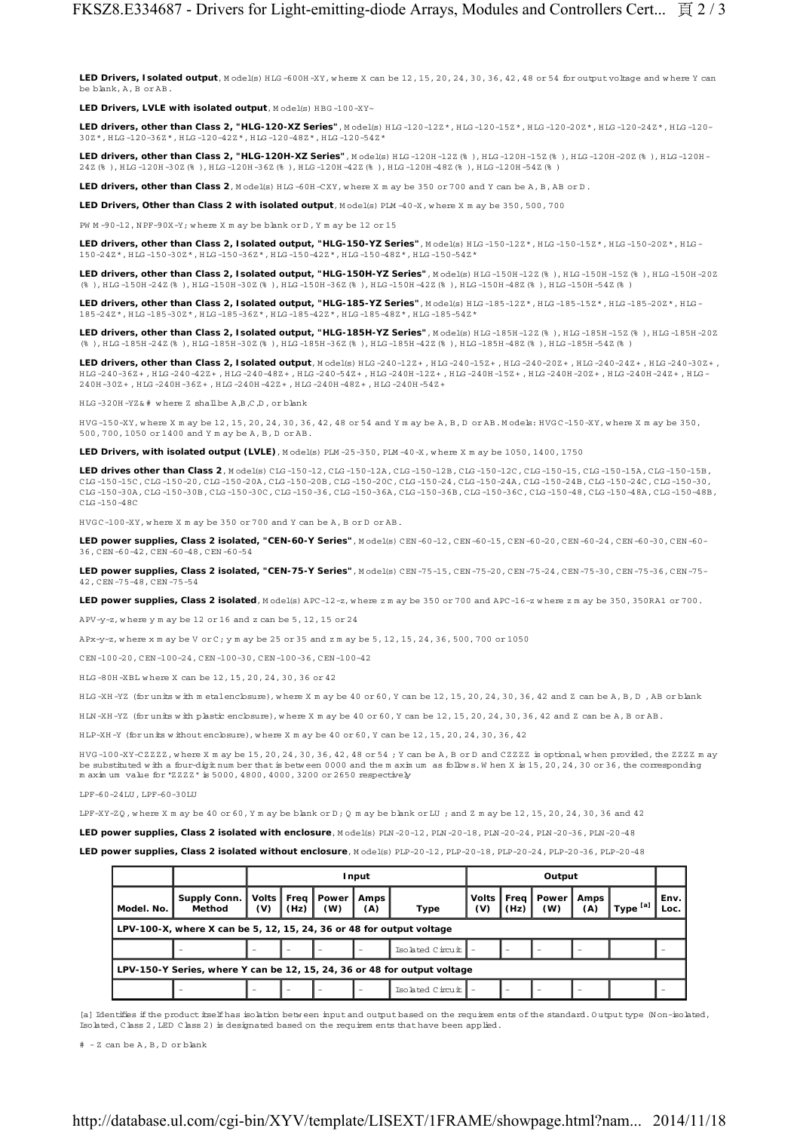LED Drivers, Isolated output, Model(s) HLG-600H-XY, where X can be 12, 15, 20, 24, 30, 36, 42, 48 or 54 for output voltage and where Y can be blank, A, B or AB.

LED Drivers, LVLE with isolated output, Model(s) HBG-100-XY~

**LED drivers, other than Class 2, "HLG-120-XZ Series"**, Model(s) HLG-120-122\*, HLG-120-152\*, HLG-120-202\*, HLG-120-242\*, HLG-120-30Z\*, H LG -120-36Z\*, H LG -120-42Z\*, H LG -120-48Z\*, H LG -120-54Z\*

LED drivers, other than Class 2, "HLG-120H-XZ Series", Model(s) HLG-120H-12Z(%), HLG-120H-15Z(%), HLG-120H-20Z(%), HLG-120H-24Z(% ), H LG -120H -30Z(% ), H LG -120H -36Z(% ), H LG -120H -42Z(% ), H LG -120H -48Z(% ), H LG -120H -54Z(% )

**LED drivers, other than Class 2.** M odel(s) HTG-60H-CXY, where X m ay be 350 or 700 and Y can be A, B, AB or D.

**LED Drivers, Other than Class 2 with isolated output**, Model(s) PLM -40-X, where X m ay be 350, 500, 700

PW M -90-12, N PF-90X-Y; w here X m ay be blank or D , Y m ay be 12 or 15

LED drivers, other than Class 2, Isolated output, "HLG-150-YZ Series", Model(s) HLG-150-12Z\*, HLG-150-15Z\*, HLG-150-20Z\*, HLG-150-24Z\*, H LG -150-30Z\*, H LG -150-36Z\*, H LG -150-42Z\*, H LG -150-48Z\*, H LG -150-54Z\*

LED drivers, other than Class 2, Isolated output, "HLG-150H-YZ Series", Model(s) HLG-150H-12Z(%), HLG-150H-15Z(%), HLG-150H-20Z (% ), H LG -150H -24Z(% ), H LG -150H -30Z(% ), H LG -150H -36Z(% ), H LG -150H -42Z(% ), H LG -150H -48Z(% ), H LG -150H -54Z(% )

LED drivers, other than Class 2, Isolated output, "HLG-185-YZ Series", Model(s) HLG-185-12Z\*, HTG-185-15Z\*, HTG-185-20Z\*, HTG-185-24Z\*, H LG -185-30Z\*, H LG -185-36Z\*, H LG -185-42Z\*, H LG -185-48Z\*, H LG -185-54Z\*

LED drivers, other than Class 2, Isolated output, "HLG-185H-YZ Series", Model(s) HLG-185H-12Z(% ), HLG-185H-15Z(% ), HLG-185H-20Z (% ), H LG -185H -24Z(% ), H LG -185H -30Z(% ), H LG -185H -36Z(% ), H LG -185H -42Z(% ), H LG -185H -48Z(% ), H LG -185H -54Z(% )

**LED drivers, other than Class 2, Isolated output**, Model(s) HLG -240-12Z+, HLG-240-15Z+, HLG-240-20Z+, HLG-240-24Z+, HLG-240-30Z+, H LG -240-36Z+ , H LG -240-42Z+ , H LG -240-48Z+ , H LG -240-54Z+ , H LG -240H -12Z+ , H LG -240H -15Z+ , H LG -240H -20Z+ , H LG -240H -24Z+ , H LG - 240H -30Z+ , H LG -240H -36Z+ , H LG -240H -42Z+ , H LG -240H -48Z+ , H LG -240H -54Z+

H LG -320H -YZ& # w here Z shall be A,B,C,D , or blank

H VG -150-XY, w here X m ay be 12, 15, 20, 24, 30, 36, 42, 48 or 54 and Y m ay be A, B, D or AB. M odels: H VG C-150-XY, w here X m ay be 350, 500, 700, 1050 or 1400 and Y m ay be A, B, D or AB.

**LED Drivers, with isolated output (LVLE)**, M odel(s) PLM -25-350, PLM -40-X, w here X m ay be 1050, 1400, 1750

LED drives other than Class 2, Model(s) CLG-150-12, CLG-150-12A, CLG-150-12B, CLG-150-12C, CLG-150-15, CLG-150-15A, CLG-150-15B, CLG -150-15C, CLG -150-20, CLG -150-20A, CLG -150-20B, CLG -150-20C, CLG -150-24, CLG -150-24A, CLG -150-24B, CLG -150-24C, CLG -150-30, CLG -150-30A, CLG -150-30B, CLG -150-30C, CLG -150-36, CLG -150-36A, CLG -150-36B, CLG -150-36C, CLG -150-48, CLG -150-48A, CLG -150-48B, CLG -150-48C

H VG C-100-XY, w here X m ay be 350 or 700 and Y can be A, B or D or AB.

**LED power supplies, Class 2 isolated, "CEN-60-Y Series"**, M odel(s) CEN -60-12, CEN -60-15, CEN -60-20, CEN -60-24, CEN -60-30, CEN -60- 36, CEN -60-42, CEN -60-48, CEN -60-54

**LED power supplies, Class 2 isolated, "CEN-75-Y Series"**, M odel(s) CEN -75-15, CEN -75-20, CEN -75-24, CEN -75-30, CEN -75-36, CEN -75- 42, CEN -75-48, CEN -75-54

**LED power supplies, Class 2 isolated**, M odel(s) APC-12-z, w here z m ay be 350 or 700 and APC-16-z w here z m ay be 350, 350RA1 or 700.

APV-y-z, w here y m ay be 12 or 16 and z can be 5, 12, 15 or 24

APx-y-z, where x m ay be V or C; y m ay be 25 or 35 and z m ay be  $5.12, 15, 24, 36, 500, 700$  or  $1050$ 

CEN -100-20, CEN -100-24, CEN -100-30, CEN -100-36, CEN -100-42

H LG -80H -XBL w here X can be 12, 15, 20, 24, 30, 36 or 42

H LG -XH -YZ (for units w ith m etalenclosure), w here X m ay be 40 or 60, Y can be 12, 15, 20, 24, 30, 36, 42 and Z can be A, B, D , AB or blank

H LN -XH -YZ (for units w ith plastic enclosure), w here X m ay be 40 or 60, Y can be 12, 15, 20, 24, 30, 36, 42 and Z can be A, B or AB.

H LP-XH -Y (for units w ithout enclosure), w here X m ay be 40 or 60, Y can be 12, 15, 20, 24, 30, 36, 42

H VG -100-XY-CZZZZ, w here X m ay be 15, 20, 24, 30, 36, 42, 48 or 54 ; Y can be A, B or D and CZZZZ is optional, w hen provided, the ZZZZ m ay be substituted w ith a four-digit num ber that is betw een 0000 and the m axim um as follow s. W hen X is 15, 20, 24, 30 or 36, the corresponding m axim um value for "ZZZZ" is 5000, 4800, 4000, 3200 or 2650 respectively

LPF-60-24LU , LPF-60-30LU

LPF-XY-ZQ , w here X m ay be 40 or 60, Y m ay be blank or D ; Q m ay be blank or LU ; and Z m ay be 12, 15, 20, 24, 30, 36 and 42

**LED power supplies, Class 2 isolated with enclosure**, M odel(s) PLN -20-12, PLN -20-18, PLN -20-24, PLN -20-36, PLN -20-48

LED power supplies, Class 2 isolated without enclosure, Model(s) PLP-20-12, PLP-20-18, PLP-20-24, PLP-20-36, PLP-20-48

|                                                                          |                        | Input                 |      |              |               |                  | Output       |              |              |             |            |              |
|--------------------------------------------------------------------------|------------------------|-----------------------|------|--------------|---------------|------------------|--------------|--------------|--------------|-------------|------------|--------------|
| Model. No.                                                               | Supply Conn.<br>Method | Volts   Freg  <br>(V) | (Hz) | Power<br>(W) | Amps l<br>(A) | Type             | Volts<br>(V) | Freq<br>(Hz) | Power<br>(W) | Amps<br>(A) | I Type [a] | Env.<br>Loc. |
| LPV-100-X, where X can be 5, 12, 15, 24, 36 or 48 for output voltage     |                        |                       |      |              |               |                  |              |              |              |             |            |              |
|                                                                          | -                      | -                     |      |              |               | Isolated Circuit |              |              |              |             |            |              |
| LPV-150-Y Series, where Y can be 12, 15, 24, 36 or 48 for output voltage |                        |                       |      |              |               |                  |              |              |              |             |            |              |
|                                                                          |                        | -                     |      |              |               | Isolated Circuit |              |              |              |             |            |              |

[a] Identifies if the product itself has isolation betw een input and output based on the requirem ents of the standard. Output type (Non-isolated, Isolated, Class 2, LED Class 2) is designated based on the requirem ents that have been applied.

# - Z can be A, B, D or blank